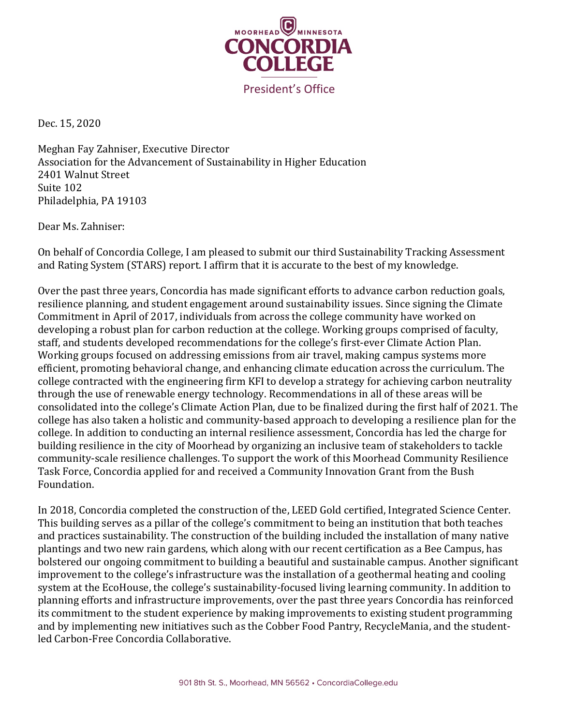

Dec. 15, 2020

Meghan Fay Zahniser, Executive Director Association for the Advancement of Sustainability in Higher Education 2401 Walnut Street Suite 102 Philadelphia, PA 19103

Dear Ms. Zahniser:

On behalf of Concordia College, I am pleased to submit our third Sustainability Tracking Assessment and Rating System (STARS) report. I affirm that it is accurate to the best of my knowledge.

Over the past three years, Concordia has made significant efforts to advance carbon reduction goals, resilience planning, and student engagement around sustainability issues. Since signing the Climate Commitment in April of 2017, individuals from across the college community have worked on developing a robust plan for carbon reduction at the college. Working groups comprised of faculty, staff, and students developed recommendations for the college's first-ever Climate Action Plan. Working groups focused on addressing emissions from air travel, making campus systems more efficient, promoting behavioral change, and enhancing climate education across the curriculum. The college contracted with the engineering firm KFI to develop a strategy for achieving carbon neutrality through the use of renewable energy technology. Recommendations in all of these areas will be consolidated into the college's Climate Action Plan, due to be finalized during the first half of 2021. The college has also taken a holistic and community-based approach to developing a resilience plan for the college. In addition to conducting an internal resilience assessment, Concordia has led the charge for building resilience in the city of Moorhead by organizing an inclusive team of stakeholders to tackle community-scale resilience challenges. To support the work of this Moorhead Community Resilience Task Force, Concordia applied for and received a Community Innovation Grant from the Bush Foundation.

In 2018, Concordia completed the construction of the, LEED Gold certified, Integrated Science Center. This building serves as a pillar of the college's commitment to being an institution that both teaches and practices sustainability. The construction of the building included the installation of many native plantings and two new rain gardens, which along with our recent certification as a Bee Campus, has bolstered our ongoing commitment to building a beautiful and sustainable campus. Another significant improvement to the college's infrastructure was the installation of a geothermal heating and cooling system at the EcoHouse, the college's sustainability-focused living learning community. In addition to planning efforts and infrastructure improvements, over the past three years Concordia has reinforced its commitment to the student experience by making improvements to existing student programming and by implementing new initiatives such as the Cobber Food Pantry, RecycleMania, and the studentled Carbon-Free Concordia Collaborative.